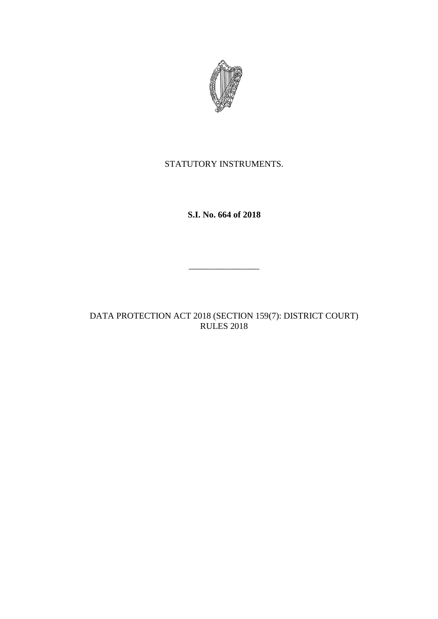

# STATUTORY INSTRUMENTS.

**S.I. No. 664 of 2018**

 $\overline{\phantom{a}}$  , where  $\overline{\phantom{a}}$ 

DATA PROTECTION ACT 2018 (SECTION 159(7): DISTRICT COURT) RULES 2018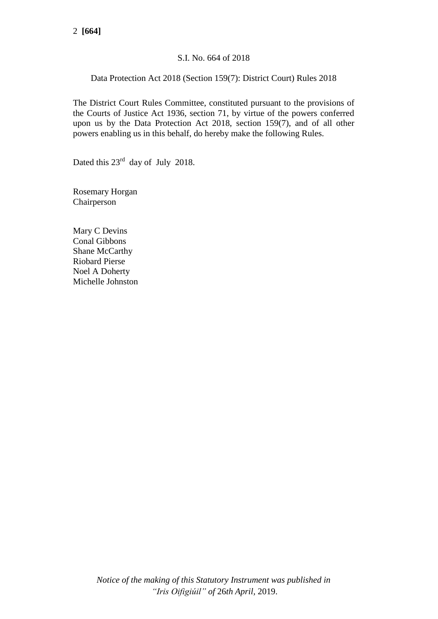## S.I. No. 664 of 2018

## Data Protection Act 2018 (Section 159(7): District Court) Rules 2018

The District Court Rules Committee, constituted pursuant to the provisions of the Courts of Justice Act 1936, section 71, by virtue of the powers conferred upon us by the Data Protection Act 2018, section 159(7), and of all other powers enabling us in this behalf, do hereby make the following Rules.

Dated this 23<sup>rd</sup> day of July 2018.

Rosemary Horgan Chairperson

Mary C Devins Conal Gibbons Shane McCarthy Riobard Pierse Noel A Doherty Michelle Johnston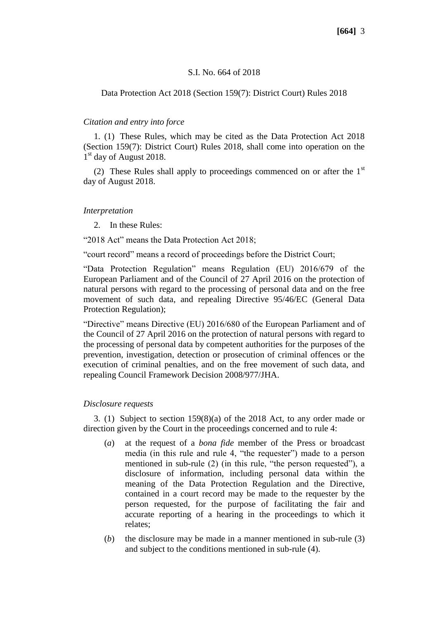#### S.I. No. 664 of 2018

#### Data Protection Act 2018 (Section 159(7): District Court) Rules 2018

#### *Citation and entry into force*

1. (1) These Rules, which may be cited as the Data Protection Act 2018 (Section 159(7): District Court) Rules 2018, shall come into operation on the 1<sup>st</sup> day of August 2018.

(2) These Rules shall apply to proceedings commenced on or after the  $1<sup>st</sup>$ day of August 2018.

#### *Interpretation*

2. In these Rules:

"2018 Act" means the Data Protection Act 2018;

"court record" means a record of proceedings before the District Court;

"Data Protection Regulation" means Regulation (EU) 2016/679 of the European Parliament and of the Council of 27 April 2016 on the protection of natural persons with regard to the processing of personal data and on the free movement of such data, and repealing Directive 95/46/EC (General Data Protection Regulation);

"Directive" means Directive (EU) 2016/680 of the European Parliament and of the Council of 27 April 2016 on the protection of natural persons with regard to the processing of personal data by competent authorities for the purposes of the prevention, investigation, detection or prosecution of criminal offences or the execution of criminal penalties, and on the free movement of such data, and repealing Council Framework Decision 2008/977/JHA.

## *Disclosure requests*

3. (1) Subject to section 159(8)(a) of the 2018 Act, to any order made or direction given by the Court in the proceedings concerned and to rule 4:

- (*a*) at the request of a *bona fide* member of the Press or broadcast media (in this rule and rule 4, "the requester") made to a person mentioned in sub-rule (2) (in this rule, "the person requested"), a disclosure of information, including personal data within the meaning of the Data Protection Regulation and the Directive, contained in a court record may be made to the requester by the person requested, for the purpose of facilitating the fair and accurate reporting of a hearing in the proceedings to which it relates;
- (*b*) the disclosure may be made in a manner mentioned in sub-rule (3) and subject to the conditions mentioned in sub-rule (4).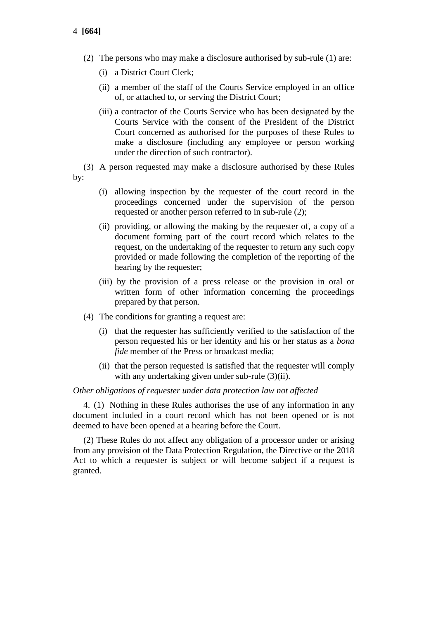- 4 **[664]**
	- (2) The persons who may make a disclosure authorised by sub-rule (1) are:
		- (i) a District Court Clerk;
		- (ii) a member of the staff of the Courts Service employed in an office of, or attached to, or serving the District Court;
		- (iii) a contractor of the Courts Service who has been designated by the Courts Service with the consent of the President of the District Court concerned as authorised for the purposes of these Rules to make a disclosure (including any employee or person working under the direction of such contractor).

(3) A person requested may make a disclosure authorised by these Rules by:

- (i) allowing inspection by the requester of the court record in the proceedings concerned under the supervision of the person requested or another person referred to in sub-rule (2);
- (ii) providing, or allowing the making by the requester of, a copy of a document forming part of the court record which relates to the request, on the undertaking of the requester to return any such copy provided or made following the completion of the reporting of the hearing by the requester;
- (iii) by the provision of a press release or the provision in oral or written form of other information concerning the proceedings prepared by that person.
- (4) The conditions for granting a request are:
	- (i) that the requester has sufficiently verified to the satisfaction of the person requested his or her identity and his or her status as a *bona fide* member of the Press or broadcast media;
	- (ii) that the person requested is satisfied that the requester will comply with any undertaking given under sub-rule  $(3)(ii)$ .

### *Other obligations of requester under data protection law not affected*

4. (1) Nothing in these Rules authorises the use of any information in any document included in a court record which has not been opened or is not deemed to have been opened at a hearing before the Court.

(2) These Rules do not affect any obligation of a processor under or arising from any provision of the Data Protection Regulation, the Directive or the 2018 Act to which a requester is subject or will become subject if a request is granted.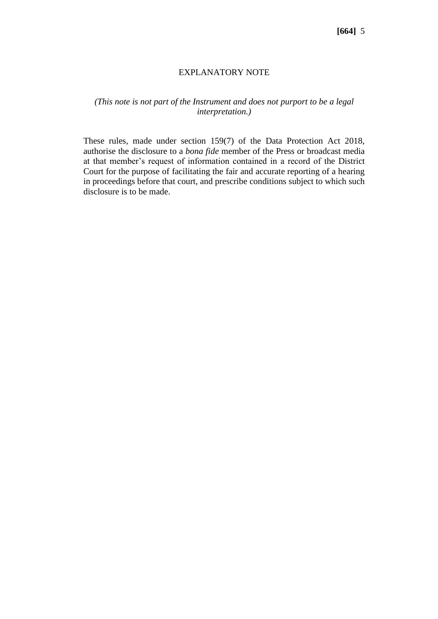## EXPLANATORY NOTE

## *(This note is not part of the Instrument and does not purport to be a legal interpretation.)*

These rules, made under section 159(7) of the Data Protection Act 2018, authorise the disclosure to a *bona fide* member of the Press or broadcast media at that member's request of information contained in a record of the District Court for the purpose of facilitating the fair and accurate reporting of a hearing in proceedings before that court, and prescribe conditions subject to which such disclosure is to be made.